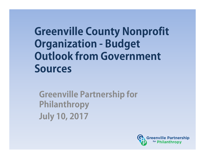### **Greenville County Nonprofit Organization - Budget Outlook from Government Sources**

**Greenville Partnership for Philanthropy July 10, 2017**

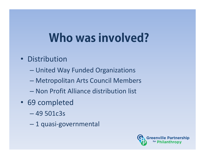## **Who was involved?**

- Distribution
	- United Way Funded Organizations
	- Metropolitan Arts Council Members
	- Non Profit Alliance distribution list
- 69 completed
	- 49 501c3s
	- $\mathcal{L}_{\mathcal{A}}$ 1 quasi‐governmental

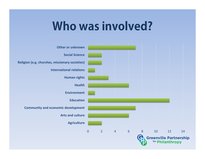### **Who was involved?**

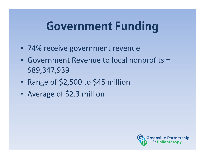## **Government Funding**

- 74% receive government revenue
- Government Revenue to local nonprofits = \$89,347,939
- $\bullet$ • Range of \$2,500 to \$45 million
- $\bullet$ Average of \$2.3 million

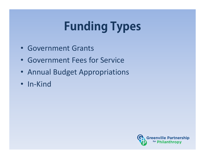# **Funding Types**

- Government Grants
- Government Fees for Service
- Annual Budget Appropriations
- In‐Kind

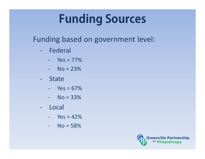# **Funding Sources**

### Funding based on government level:

- ‐ Federal
	- ‐ Yes = 77%
	- ‐ No = 23%
- ‐**State** 
	- ‐ Yes = 67%
	- ‐ No = 33%
- ‐ Local
	- $Yes = 42%$
	- ‐ No = 58%

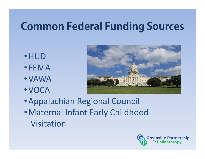### **Common Federal Funding Sources**

- •HUD
- FEMA
- •VAWA
- •VOCA



- •Appalachian Regional Council
- •Maternal Infant Early Childhood Visitation

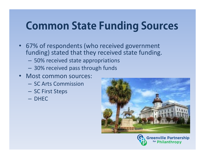### **Common State Funding Sources**

- 67% of respondents (who received government funding) stated that they received state funding.
	- 50% received state appropriations
	- 30% received pass through funds
- Most common sources:
	- SC Arts Commission
	- SC First Steps
	- DHEC



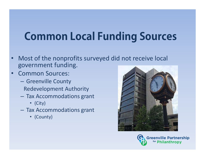## **Common Local Funding Sources**

- • Most of the nonprofits surveyed did not receive local government funding.
- • Common Sources:
	- $-$  Greenville County Redevelopment Authority
	- $-$  Tax Accommodations grant
		- (City)
	- $-$  Tax Accommodations grant
		- (County)



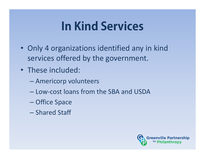## **In Kind Services**

- Only 4 organizations identified any in kind services offered by the government.
- These included:
	- –Americorp volunteers
	- Low‐cost loans from the SBA and USDA
	- –Office Space
	- Shared Staff

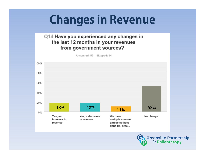## **Changes in Revenue**

#### Q14 Have you experienced any changes in the last 12 months in your revenues from government sources?

Answered: 55 Skipped: 14



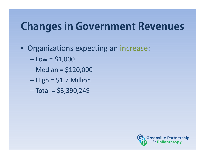### **Changes in Government Revenues**

- • Organizations expecting an increase:
	- $-$  Low =  $$1,000$
	- Median = \$120,000
	- $-$  High = \$1.7 Million
	- $\mathcal{L}_{\mathcal{A}}$  , the state of the state  $\mathcal{L}_{\mathcal{A}}$  $-$  Total = \$3,390,249

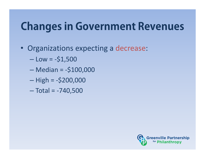### **Changes in Government Revenues**

- • Organizations expecting a decrease:
	- Low = ‐\$1,500
	- Median = ‐\$100,000
	- High = ‐\$200,000
	- $\mathcal{L}_{\mathcal{A}}$  , the state of the state  $\mathcal{L}_{\mathcal{A}}$ Total = ‐740,500

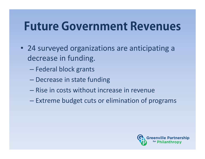### **Future Government Revenues**

- 24 surveyed organizations are anticipating a decrease in funding.
	- Federal block grants
	- **Decrease in state funding**
	- Rise in costs without increase in revenue
	- $\mathcal{L}_{\mathcal{A}}$  $-$  Extreme budget cuts or elimination of programs

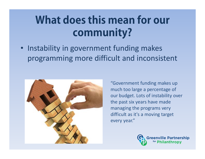• Instability in government funding makes programming more difficult and inconsistent



"Government funding makes up much too large a percentage of our budget. Lots of instability over the past six years have made managing the programs very difficult as it's a moving target every year."

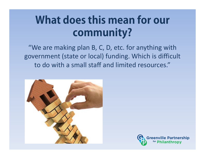"We are making plan B, C, D, etc. for anything with government (state or local) funding. Which is difficult to do with a small staff and limited resources."



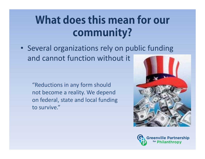• Several organizations rely on public funding and cannot function without it

"Reductions in any form should not become a reality. We depend on federal, state and local funding to survive."



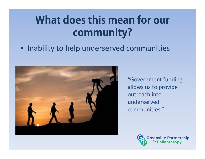• Inability to help underserved communities



"Government funding allows us to provide outreach into underserved communities."

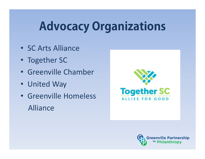## **Advocacy Organizations**

- SC Arts Alliance
- Together SC
- Greenville Chamber
- United Way
- Greenville HomelessAlliance